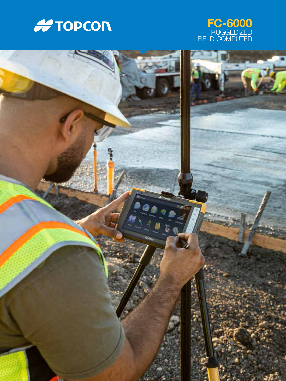



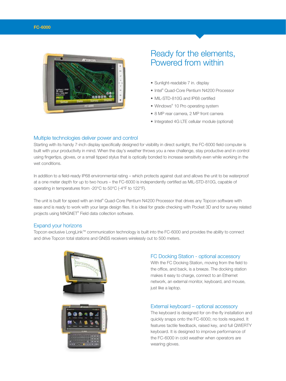

# Ready for the elements, Powered from within

- Sunlight-readable 7 in. display
- Intel® Quad-Core Pentium N4200 Processor
- MIL-STD-810G and IP68 certified
- Windows® 10 Pro operating system
- 8 MP rear camera, 2 MP front camera
- Integrated 4G LTE cellular module (optional)

## Multiple technologies deliver power and control

Starting with its handy 7-inch display specifically designed for visibility in direct sunlight, the FC-6000 field computer is built with your productivity in mind. When the day's weather throws you a new challenge, stay productive and in control using fingertips, gloves, or a small tipped stylus that is optically bonded to increase sensitivity even while working in the wet conditions.

In addition to a field-ready IP68 environmental rating – which protects against dust and allows the unit to be waterproof at a one meter depth for up to two hours – the FC-6000 is independently certified as MIL-STD-810G, capable of operating in temperatures from -20°C to 50°C (-4°F to 122°F).

The unit is built for speed with an Intel® Quad-Core Pentium N4200 Processor that drives any Topcon software with ease and is ready to work with your large design files. It is ideal for grade checking with Pocket 3D and for survey related projects using MAGNET® Field data collection software.

#### Expand your horizons

Topcon exclusive LongLink™ communication technology is built into the FC-6000 and provides the ability to connect and drive Topcon total stations and GNSS receivers wirelessly out to 500 meters.



#### FC Docking Station - optional accessory

With the FC Docking Station, moving from the field to the office, and back, is a breeze. The docking station makes it easy to charge, connect to an Ethernet network, an external monitor, keyboard, and mouse, just like a laptop.

#### External keyboard – optional accessory

The keyboard is designed for on-the-fly installation and quickly snaps onto the FC-6000; no tools required. It features tactile feedback, raised key, and full QWERTY keyboard. It is designed to improve performance of the FC-6000 in cold weather when operators are wearing gloves.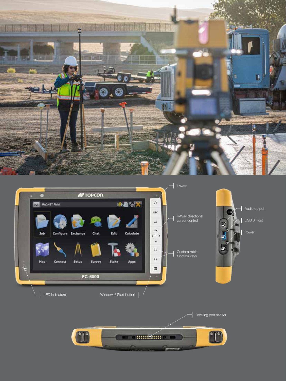